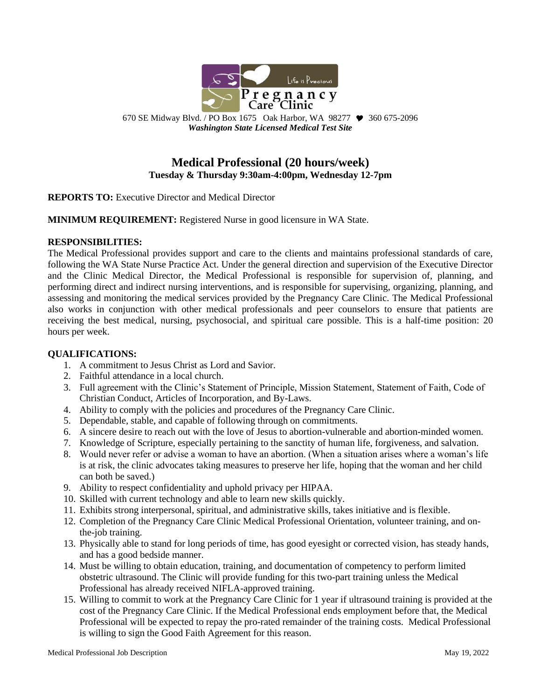

670 SE Midway Blvd. / PO Box 1675 Oak Harbor, WA 98277  $\blacktriangledown$  360 675-2096 *Washington State Licensed Medical Test Site*

# **Medical Professional (20 hours/week) Tuesday & Thursday 9:30am-4:00pm, Wednesday 12-7pm**

**REPORTS TO:** Executive Director and Medical Director

**MINIMUM REQUIREMENT:** Registered Nurse in good licensure in WA State.

#### **RESPONSIBILITIES:**

The Medical Professional provides support and care to the clients and maintains professional standards of care, following the WA State Nurse Practice Act. Under the general direction and supervision of the Executive Director and the Clinic Medical Director, the Medical Professional is responsible for supervision of, planning, and performing direct and indirect nursing interventions, and is responsible for supervising, organizing, planning, and assessing and monitoring the medical services provided by the Pregnancy Care Clinic. The Medical Professional also works in conjunction with other medical professionals and peer counselors to ensure that patients are receiving the best medical, nursing, psychosocial, and spiritual care possible. This is a half-time position: 20 hours per week.

#### **QUALIFICATIONS:**

- 1. A commitment to Jesus Christ as Lord and Savior.
- 2. Faithful attendance in a local church.
- 3. Full agreement with the Clinic's Statement of Principle, Mission Statement, Statement of Faith, Code of Christian Conduct, Articles of Incorporation, and By-Laws.
- 4. Ability to comply with the policies and procedures of the Pregnancy Care Clinic.
- 5. Dependable, stable, and capable of following through on commitments.
- 6. A sincere desire to reach out with the love of Jesus to abortion-vulnerable and abortion-minded women.
- 7. Knowledge of Scripture, especially pertaining to the sanctity of human life, forgiveness, and salvation.
- 8. Would never refer or advise a woman to have an abortion. (When a situation arises where a woman's life is at risk, the clinic advocates taking measures to preserve her life, hoping that the woman and her child can both be saved.)
- 9. Ability to respect confidentiality and uphold privacy per HIPAA.
- 10. Skilled with current technology and able to learn new skills quickly.
- 11. Exhibits strong interpersonal, spiritual, and administrative skills, takes initiative and is flexible.
- 12. Completion of the Pregnancy Care Clinic Medical Professional Orientation, volunteer training, and onthe-job training.
- 13. Physically able to stand for long periods of time, has good eyesight or corrected vision, has steady hands, and has a good bedside manner.
- 14. Must be willing to obtain education, training, and documentation of competency to perform limited obstetric ultrasound. The Clinic will provide funding for this two-part training unless the Medical Professional has already received NIFLA-approved training.
- 15. Willing to commit to work at the Pregnancy Care Clinic for 1 year if ultrasound training is provided at the cost of the Pregnancy Care Clinic. If the Medical Professional ends employment before that, the Medical Professional will be expected to repay the pro-rated remainder of the training costs. Medical Professional is willing to sign the Good Faith Agreement for this reason.